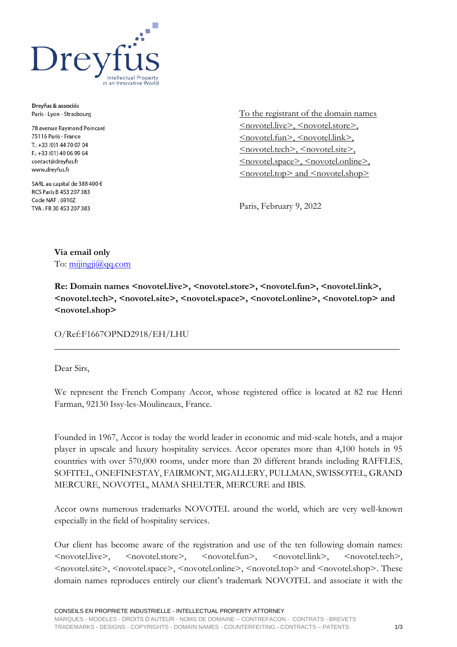

Dreyfus & associés Paris - Lyon - Strasbourg

78 avenue Raymond Poincaré 75116 Paris - France T.: +33 (0) 144 70 07 04 F: +33 (01) 40 06 99 64 contact@dreyfus.fr www.dreyfus.fr

SARL au capital de 388 400 € RCS Paris B 453 207 383 Code NAF: 6910Z TVA: FR 30 453 207 383

To the registrant of the domain names <novotel.live>, <novotel.store>, <novotel.fun>, <novotel.link>, <novotel.tech>, <novotel.site>, <novotel.space>, <novotel.online>, <novotel.top> and <novotel.shop>

Paris, February 9, 2022

## **Via email only**

To:  $\frac{\text{mijingii}(a) \text{qq.com}}{a}$ 

**Re: Domain names <novotel.live>, <novotel.store>, <novotel.fun>, <novotel.link>, <novotel.tech>, <novotel.site>, <novotel.space>, <novotel.online>, <novotel.top> and <novotel.shop>**

**\_\_\_\_\_\_\_\_\_\_\_\_\_\_\_\_\_\_\_\_\_\_\_\_\_\_\_\_\_\_\_\_\_\_\_\_\_\_\_\_\_\_\_\_\_\_\_\_\_\_\_\_\_\_\_\_\_\_\_\_\_\_\_\_\_\_\_\_\_\_\_\_\_\_\_**

O/Ref:F1667OPND2918/EH/LHU

Dear Sirs,

We represent the French Company Accor, whose registered office is located at 82 rue Henri Farman, 92130 Issy-les-Moulineaux, France.

Founded in 1967, Accor is today the world leader in economic and mid-scale hotels, and a major player in upscale and luxury hospitality services. Accor operates more than 4,100 hotels in 95 countries with over 570,000 rooms, under more than 20 different brands including RAFFLES, SOFITEL, ONEFINESTAY, FAIRMONT, MGALLERY, PULLMAN, SWISSOTEL, GRAND MERCURE, NOVOTEL, MAMA SHELTER, MERCURE and IBIS.

Accor owns numerous trademarks NOVOTEL around the world, which are very well-known especially in the field of hospitality services.

Our client has become aware of the registration and use of the ten following domain names: <novotel.live>, <novotel.store>, <novotel.fun>, <novotel.link>, <novotel.tech>, <novotel.site>, <novotel.space>, <novotel.online>, <novotel.top> and <novotel.shop>. These domain names reproduces entirely our client's trademark NOVOTEL and associate it with the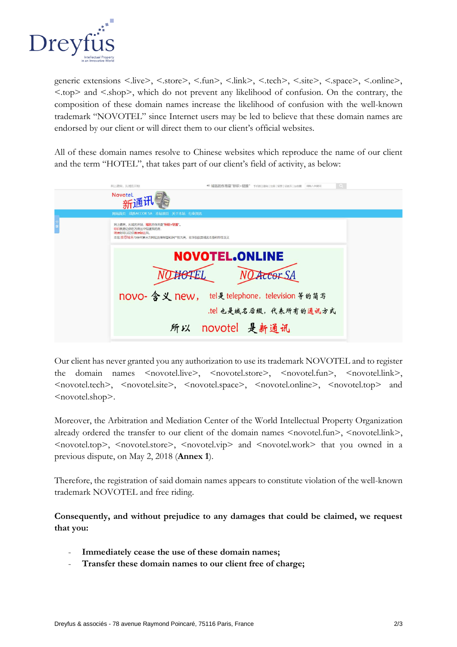

generic extensions <.live>, <.store>, <.fun>, <.link>, <.tech>, <.site>, <.space>, <.online>, <.top> and <.shop>, which do not prevent any likelihood of confusion. On the contrary, the composition of these domain names increase the likelihood of confusion with the well-known trademark "NOVOTEL" since Internet users may be led to believe that these domain names are endorsed by our client or will direct them to our client's official websites.

All of these domain names resolve to Chinese websites which reproduce the name of our client and the term "HOTEL", that takes part of our client's field of activity, as below:

| 网上建房,从域名开始                                                                                                 | ● 域名的作用是"标识+链接" 手机板   登陆   注册   留言   设首页   加收重   请输入关键词                                                                      | $\alpha$ |
|------------------------------------------------------------------------------------------------------------|------------------------------------------------------------------------------------------------------------------------------|----------|
| NovoteL                                                                                                    |                                                                                                                              |          |
| 网站首页 战胜ACCOR SA 本站项目 关于本站 行业资讯                                                                             |                                                                                                                              |          |
| 网上建房,从域名开始,域名的作用是"标识+链接",<br>标识就是让你在万房丛中知道我的房。<br>链接则可以让你直接触达我。<br>本站推荐域名与任何第三方网站及商标等知识产权无关,名字仅仅是域名本身的特性含义 |                                                                                                                              |          |
| 所以                                                                                                         | <b>NOVOTEL.ONLINE</b><br>Accor SA<br>novo- 含义 new, tel是 telephone, television 等的简写<br>.tel 也是域名后缀, 代表所有的通讯方式<br>novotel 是新通讯 |          |

Our client has never granted you any authorization to use its trademark NOVOTEL and to register the domain names <novotel.live>, <novotel.store>, <novotel.fun>, <novotel.link>, <novotel.tech>, <novotel.site>, <novotel.space>, <novotel.online>, <novotel.top> and <novotel.shop>.

Moreover, the Arbitration and Mediation Center of the World Intellectual Property Organization already ordered the transfer to our client of the domain names <novotel.fun>, <novotel.link>, <novotel.top>, <novotel.store>, <novotel.vip> and <novotel.work> that you owned in a previous dispute, on May 2, 2018 (**Annex 1**).

Therefore, the registration of said domain names appears to constitute violation of the well-known trademark NOVOTEL and free riding.

**Consequently, and without prejudice to any damages that could be claimed, we request that you:**

- **Immediately cease the use of these domain names;**
- **Transfer these domain names to our client free of charge;**